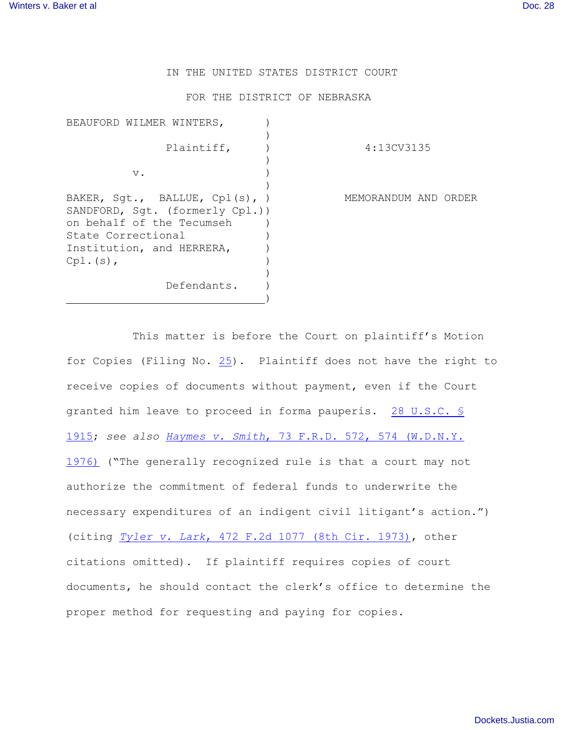IN THE UNITED STATES DISTRICT COURT

FOR THE DISTRICT OF NEBRASKA

| BEAUFORD WILMER WINTERS,                                                                                                                                                  |                      |
|---------------------------------------------------------------------------------------------------------------------------------------------------------------------------|----------------------|
| Plaintiff,                                                                                                                                                                | 4:13CV3135           |
|                                                                                                                                                                           |                      |
| $V$ .                                                                                                                                                                     |                      |
| BAKER, $Sgt.$ , BALLUE, $Cpl(s)$ , )<br>SANDFORD, Sqt. (formerly Cpl.))<br>on behalf of the Tecumseh<br>State Correctional<br>Institution, and HERRERA,<br>$Cpl.$ $(s)$ , | MEMORANDUM AND ORDER |
| Defendants.                                                                                                                                                               |                      |

This matter is before the Court on plaintiff's Motion for Copies (Filing No. [25](https://ecf.ned.uscourts.gov/doc1/11312933042)). Plaintiff does not have the right to receive copies of documents without payment, even if the Court granted him leave to proceed in forma pauperis. [28 U.S.C. §](http://www.westlaw.com/find/default.wl?rs=CLWP3.0&vr=2.0&cite=28+USCA+s+1915) [1915](http://www.westlaw.com/find/default.wl?rs=CLWP3.0&vr=2.0&cite=28+USCA+s+1915); *see also Haymes v. Smith*[, 73 F.R.D. 572, 574 \(W.D.N.Y.](http://www.westlaw.com/find/default.wl?rs=CLWP3.0&vr=2.0&cite=73+F.R.D.+572) [1976\)](http://www.westlaw.com/find/default.wl?rs=CLWP3.0&vr=2.0&cite=73+F.R.D.+572) ("The generally recognized rule is that a court may not authorize the commitment of federal funds to underwrite the necessary expenditures of an indigent civil litigant's action.") (citing *Tyler v. Lark*[, 472 F.2d 1077 \(8th Cir. 1973\)](http://www.westlaw.com/find/default.wl?rs=CLWP3.0&vr=2.0&cite=472+F.2d+1077), other citations omitted). If plaintiff requires copies of court documents, he should contact the clerk's office to determine the proper method for requesting and paying for copies.